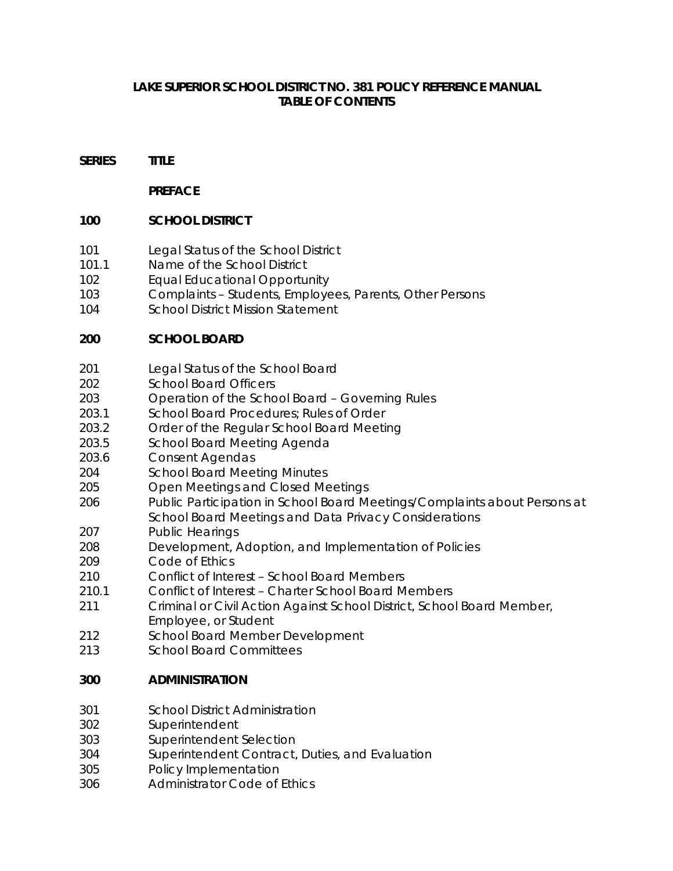### **LAKE SUPERIOR SCHOOL DISTRICT NO. 381 POLICY REFERENCE MANUAL TABLE OF CONTENTS**

#### **SERIES TITLE**

#### **PREFACE**

#### **100 SCHOOL DISTRICT**

- 101 Legal Status of the School District
- 101.1 Name of the School District
- 102 Equal Educational Opportunity
- 103 Complaints Students, Employees, Parents, Other Persons
- 104 School District Mission Statement

### **200 SCHOOL BOARD**

- 201 Legal Status of the School Board
- 202 School Board Officers
- 203 Operation of the School Board Governing Rules
- 203.1 School Board Procedures; Rules of Order
- 203.2 Order of the Regular School Board Meeting
- 203.5 School Board Meeting Agenda
- 203.6 Consent Agendas
- 204 School Board Meeting Minutes
- 205 Open Meetings and Closed Meetings
- 206 Public Participation in School Board Meetings/Complaints about Persons at School Board Meetings and Data Privacy Considerations
- 207 Public Hearings
- 208 Development, Adoption, and Implementation of Policies
- 209 Code of Ethics
- 210 Conflict of Interest School Board Members
- 210.1 Conflict of Interest Charter School Board Members
- 211 Criminal or Civil Action Against School District, School Board Member, Employee, or Student
- 212 School Board Member Development
- 213 School Board Committees

### **300 ADMINISTRATION**

- 301 School District Administration
- 302 Superintendent
- 303 Superintendent Selection
- 304 Superintendent Contract, Duties, and Evaluation
- 305 Policy Implementation
- 306 Administrator Code of Ethics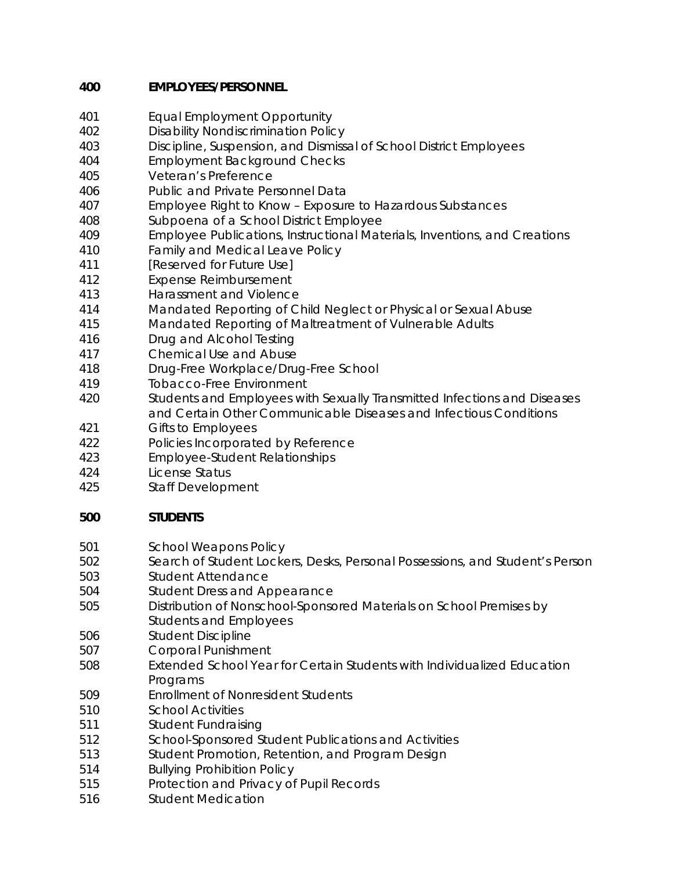## **400 EMPLOYEES/PERSONNEL**

- 401 Equal Employment Opportunity
- 402 Disability Nondiscrimination Policy
- 403 Discipline, Suspension, and Dismissal of School District Employees
- 404 Employment Background Checks
- 405 Veteran's Preference
- 406 Public and Private Personnel Data
- 407 Employee Right to Know Exposure to Hazardous Substances
- 408 Subpoena of a School District Employee
- 409 Employee Publications, Instructional Materials, Inventions, and Creations
- 410 Family and Medical Leave Policy
- 411 *[Reserved for Future Use]*
- 412 Expense Reimbursement
- 413 Harassment and Violence
- 414 Mandated Reporting of Child Neglect or Physical or Sexual Abuse
- 415 Mandated Reporting of Maltreatment of Vulnerable Adults
- 416 Drug and Alcohol Testing
- 417 Chemical Use and Abuse
- 418 Drug-Free Workplace/Drug-Free School
- 419 Tobacco-Free Environment
- 420 Students and Employees with Sexually Transmitted Infections and Diseases and Certain Other Communicable Diseases and Infectious Conditions
- 421 Gifts to Employees
- 422 Policies Incorporated by Reference
- 423 Employee-Student Relationships
- 424 License Status
- 425 Staff Development

# **500 STUDENTS**

- 501 School Weapons Policy
- 502 Search of Student Lockers, Desks, Personal Possessions, and Student's Person
- 503 Student Attendance
- 504 Student Dress and Appearance
- 505 Distribution of Nonschool-Sponsored Materials on School Premises by Students and Employees
- 506 Student Discipline
- 507 Corporal Punishment
- 508 Extended School Year for Certain Students with Individualized Education **Programs**
- 509 Enrollment of Nonresident Students
- 510 School Activities
- 511 Student Fundraising
- 512 School-Sponsored Student Publications and Activities
- 513 Student Promotion, Retention, and Program Design
- 514 Bullying Prohibition Policy
- 515 Protection and Privacy of Pupil Records
- 516 Student Medication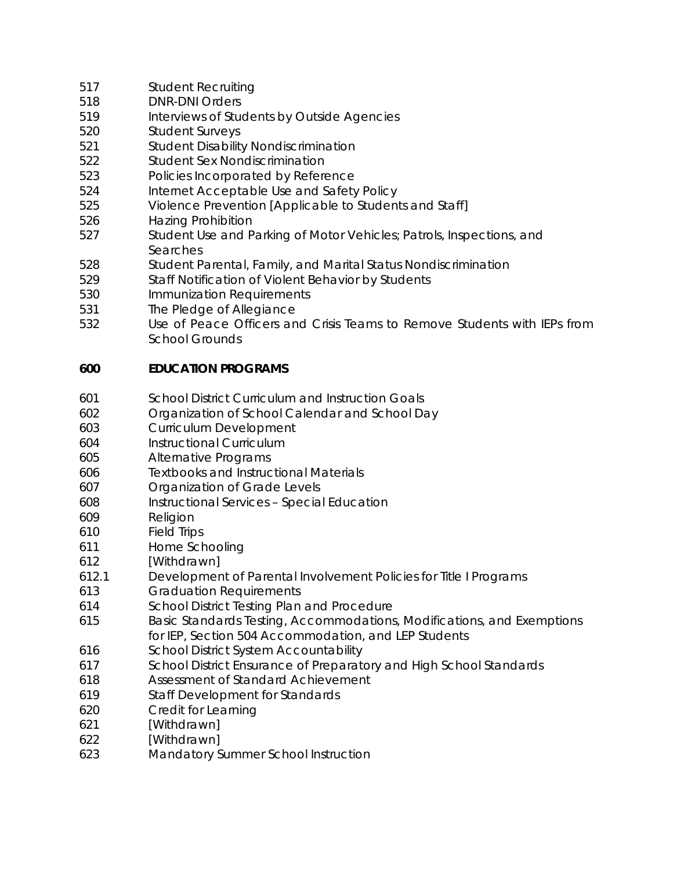- 517 Student Recruiting
- 518 DNR-DNI Orders
- 519 Interviews of Students by Outside Agencies
- 520 Student Surveys
- 521 Student Disability Nondiscrimination
- 522 Student Sex Nondiscrimination
- 523 Policies Incorporated by Reference
- 524 Internet Acceptable Use and Safety Policy
- 525 Violence Prevention [Applicable to Students and Staff]
- 526 Hazing Prohibition
- 527 Student Use and Parking of Motor Vehicles; Patrols, Inspections, and Searches
- 528 Student Parental, Family, and Marital Status Nondiscrimination
- 529 Staff Notification of Violent Behavior by Students
- 530 Immunization Requirements
- 531 The Pledge of Allegiance
- 532 Use of Peace Officers and Crisis Teams to Remove Students with IEPs from School Grounds

### **600 EDUCATION PROGRAMS**

- 601 School District Curriculum and Instruction Goals
- 602 Organization of School Calendar and School Day
- 603 Curriculum Development
- 604 Instructional Curriculum
- 605 Alternative Programs
- 606 Textbooks and Instructional Materials
- 607 Organization of Grade Levels
- 608 Instructional Services Special Education
- 609 Religion
- 610 Field Trips
- 611 Home Schooling
- 612 [Withdrawn]
- 612.1 Development of Parental Involvement Policies for Title I Programs
- 613 Graduation Requirements
- 614 School District Testing Plan and Procedure
- 615 Basic Standards Testing, Accommodations, Modifications, and Exemptions for IEP, Section 504 Accommodation, and LEP Students
- 616 School District System Accountability
- 617 School District Ensurance of Preparatory and High School Standards
- 618 Assessment of Standard Achievement
- 619 Staff Development for Standards
- 620 Credit for Learning
- 621 [Withdrawn]
- 622 [Withdrawn]
- 623 Mandatory Summer School Instruction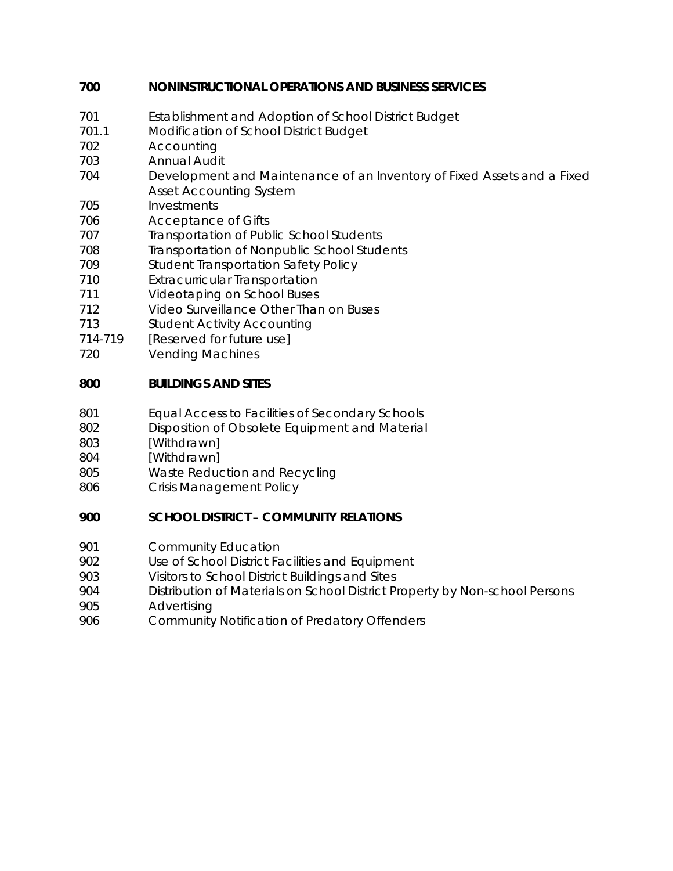### **700 NONINSTRUCTIONAL OPERATIONS AND BUSINESS SERVICES**

- 701 Establishment and Adoption of School District Budget
- 701.1 Modification of School District Budget
- 702 Accounting
- 703 Annual Audit
- 704 Development and Maintenance of an Inventory of Fixed Assets and a Fixed Asset Accounting System
- 705 Investments
- 706 Acceptance of Gifts
- 707 Transportation of Public School Students
- 708 Transportation of Nonpublic School Students
- 709 Student Transportation Safety Policy
- 710 Extracurricular Transportation
- 711 Videotaping on School Buses
- 712 Video Surveillance Other Than on Buses
- 713 Student Activity Accounting
- *714-719 [Reserved for future use]*
- 720 Vending Machines

### **800 BUILDINGS AND SITES**

- 801 Equal Access to Facilities of Secondary Schools
- 802 Disposition of Obsolete Equipment and Material
- 803 [Withdrawn]
- 804 [Withdrawn]
- 805 Waste Reduction and Recycling
- 806 Crisis Management Policy

## **900 SCHOOL DISTRICT** – **COMMUNITY RELATIONS**

- 901 Community Education
- 902 Use of School District Facilities and Equipment
- 903 Visitors to School District Buildings and Sites
- 904 Distribution of Materials on School District Property by Non-school Persons
- 905 Advertising
- 906 Community Notification of Predatory Offenders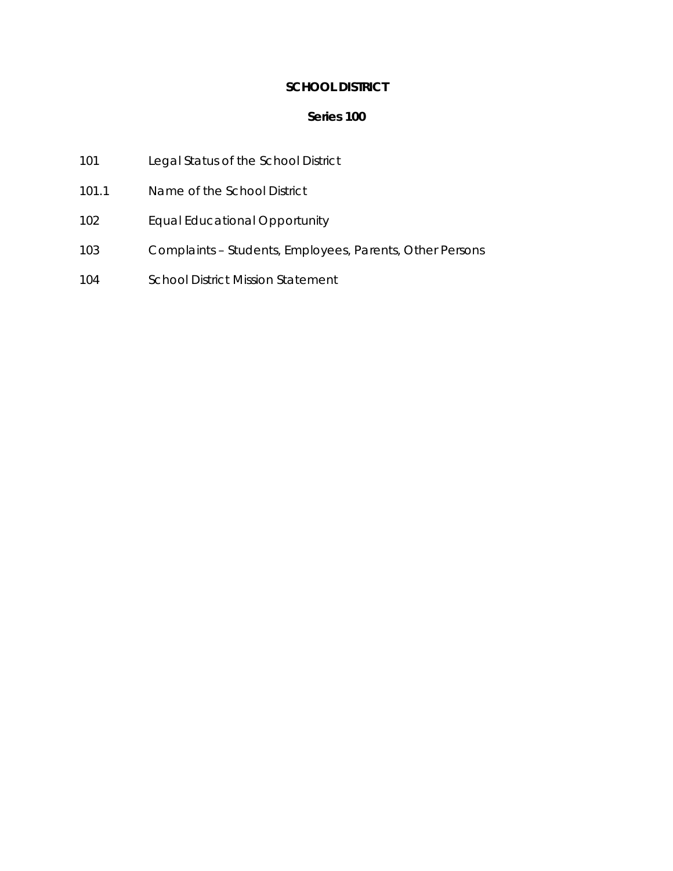## **SCHOOL DISTRICT**

- 101 Legal Status of the School District
- 101.1 Name of the School District
- 102 Equal Educational Opportunity
- 103 Complaints Students, Employees, Parents, Other Persons
- 104 School District Mission Statement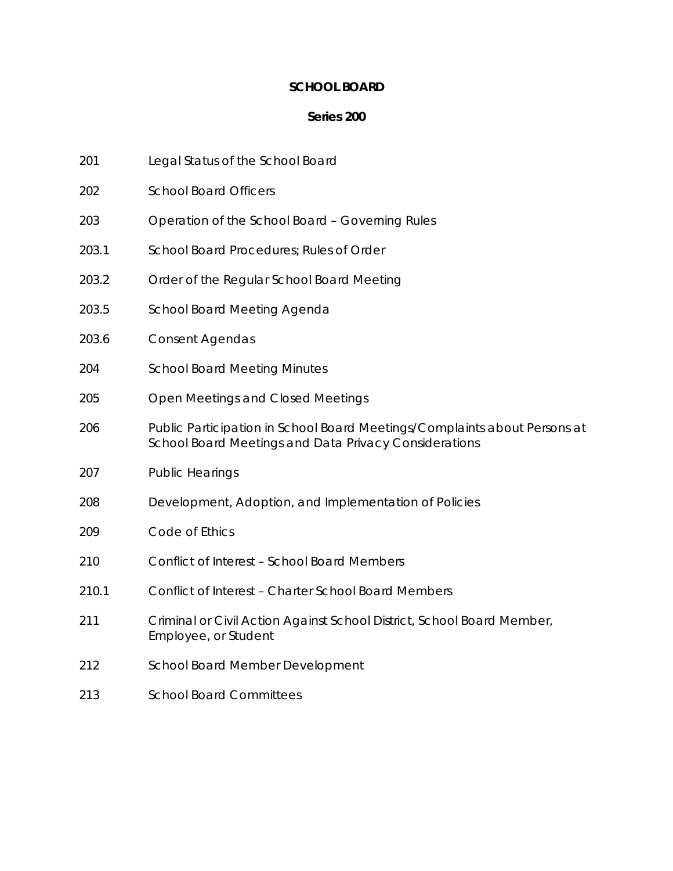### **SCHOOL BOARD**

- 201 Legal Status of the School Board
- 202 School Board Officers
- 203 Operation of the School Board Governing Rules
- 203.1 School Board Procedures; Rules of Order
- 203.2 Order of the Regular School Board Meeting
- 203.5 School Board Meeting Agenda
- 203.6 Consent Agendas
- 204 School Board Meeting Minutes
- 205 Open Meetings and Closed Meetings
- 206 Public Participation in School Board Meetings/Complaints about Persons at School Board Meetings and Data Privacy Considerations
- 207 Public Hearings
- 208 Development, Adoption, and Implementation of Policies
- 209 Code of Ethics
- 210 Conflict of Interest School Board Members
- 210.1 Conflict of Interest Charter School Board Members
- 211 Criminal or Civil Action Against School District, School Board Member, Employee, or Student
- 212 School Board Member Development
- 213 School Board Committees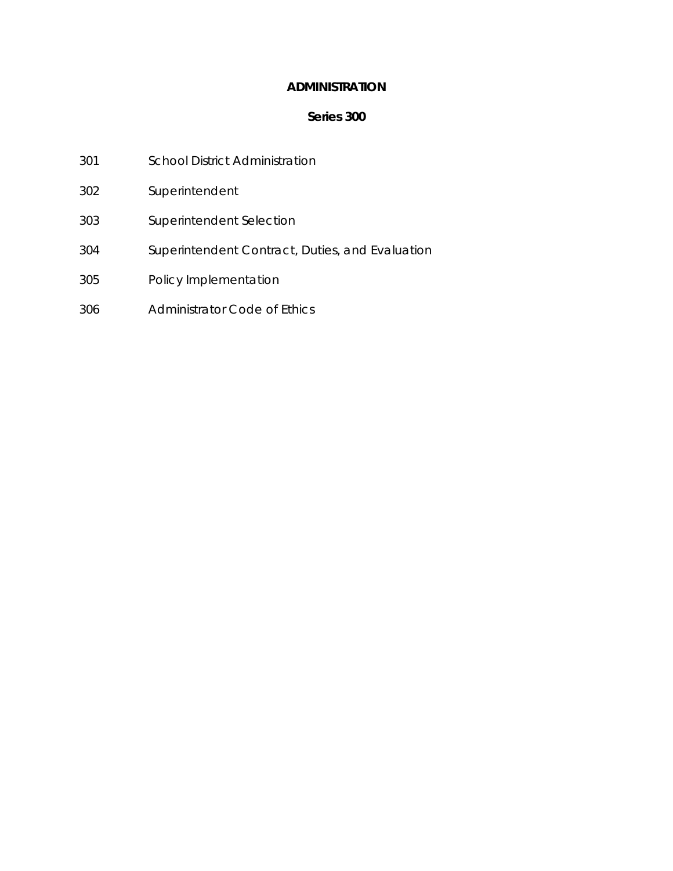### **ADMINISTRATION**

- 301 School District Administration
- 302 Superintendent
- 303 Superintendent Selection
- 304 Superintendent Contract, Duties, and Evaluation
- 305 Policy Implementation
- 306 Administrator Code of Ethics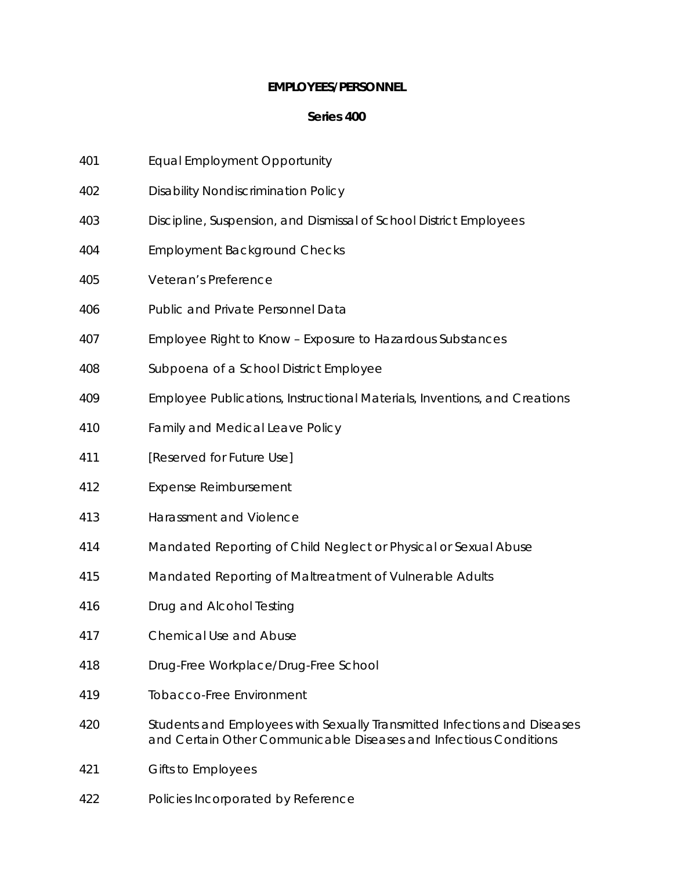### **EMPLOYEES/PERSONNEL**

- 401 Equal Employment Opportunity
- 402 Disability Nondiscrimination Policy
- 403 Discipline, Suspension, and Dismissal of School District Employees
- 404 Employment Background Checks
- 405 Veteran's Preference
- 406 Public and Private Personnel Data
- 407 Employee Right to Know Exposure to Hazardous Substances
- 408 Subpoena of a School District Employee
- 409 Employee Publications, Instructional Materials, Inventions, and Creations
- 410 Family and Medical Leave Policy
- 411 *[Reserved for Future Use]*
- 412 Expense Reimbursement
- 413 Harassment and Violence
- 414 Mandated Reporting of Child Neglect or Physical or Sexual Abuse
- 415 Mandated Reporting of Maltreatment of Vulnerable Adults
- 416 Drug and Alcohol Testing
- 417 Chemical Use and Abuse
- 418 Drug-Free Workplace/Drug-Free School
- 419 Tobacco-Free Environment
- 420 Students and Employees with Sexually Transmitted Infections and Diseases and Certain Other Communicable Diseases and Infectious Conditions
- 421 Gifts to Employees
- 422 Policies Incorporated by Reference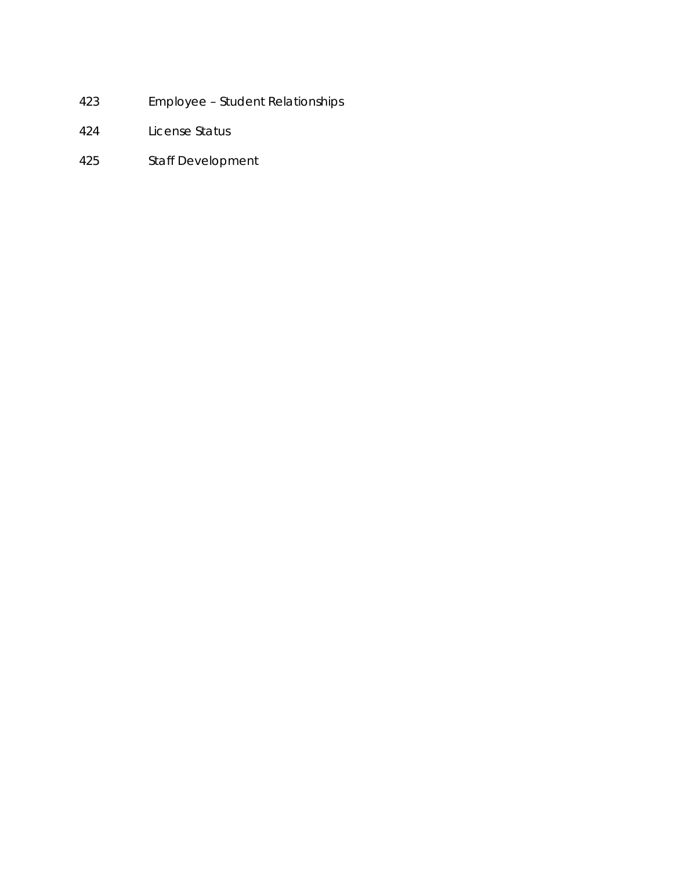- 423 Employee Student Relationships
- 424 License Status
- 425 Staff Development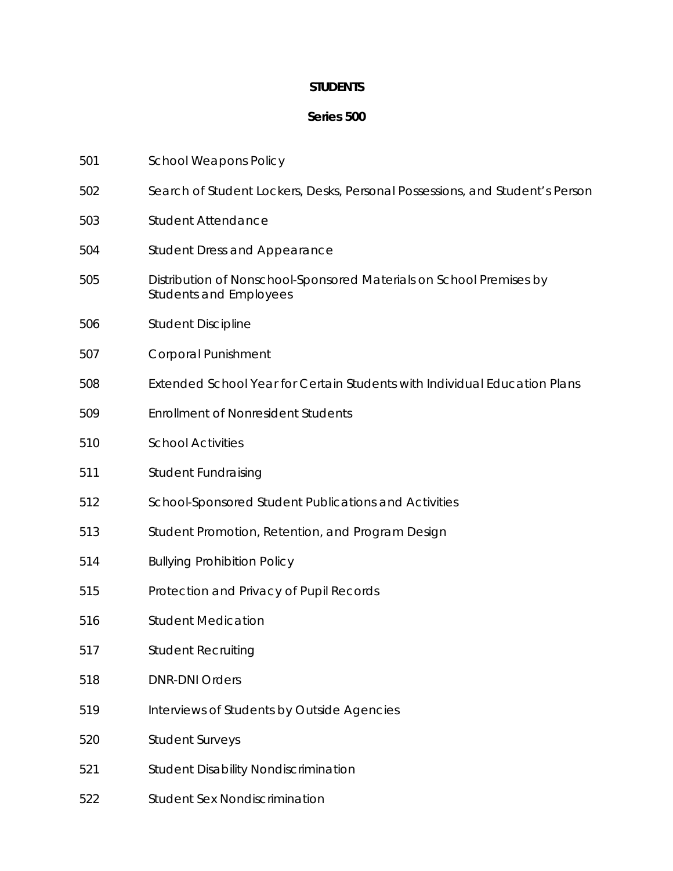## **STUDENTS**

| 501 | <b>School Weapons Policy</b>                                                                         |
|-----|------------------------------------------------------------------------------------------------------|
| 502 | Search of Student Lockers, Desks, Personal Possessions, and Student's Person                         |
| 503 | <b>Student Attendance</b>                                                                            |
| 504 | <b>Student Dress and Appearance</b>                                                                  |
| 505 | Distribution of Nonschool-Sponsored Materials on School Premises by<br><b>Students and Employees</b> |
| 506 | <b>Student Discipline</b>                                                                            |
| 507 | <b>Corporal Punishment</b>                                                                           |
| 508 | Extended School Year for Certain Students with Individual Education Plans                            |
| 509 | <b>Enrollment of Nonresident Students</b>                                                            |
| 510 | <b>School Activities</b>                                                                             |
| 511 | <b>Student Fundraising</b>                                                                           |
| 512 | School-Sponsored Student Publications and Activities                                                 |
| 513 | Student Promotion, Retention, and Program Design                                                     |
| 514 | <b>Bullying Prohibition Policy</b>                                                                   |
| 515 | Protection and Privacy of Pupil Records                                                              |
| 516 | <b>Student Medication</b>                                                                            |
| 517 | <b>Student Recruiting</b>                                                                            |
| 518 | <b>DNR-DNI Orders</b>                                                                                |
| 519 | Interviews of Students by Outside Agencies                                                           |
| 520 | <b>Student Surveys</b>                                                                               |
| 521 | <b>Student Disability Nondiscrimination</b>                                                          |
| 522 | <b>Student Sex Nondiscrimination</b>                                                                 |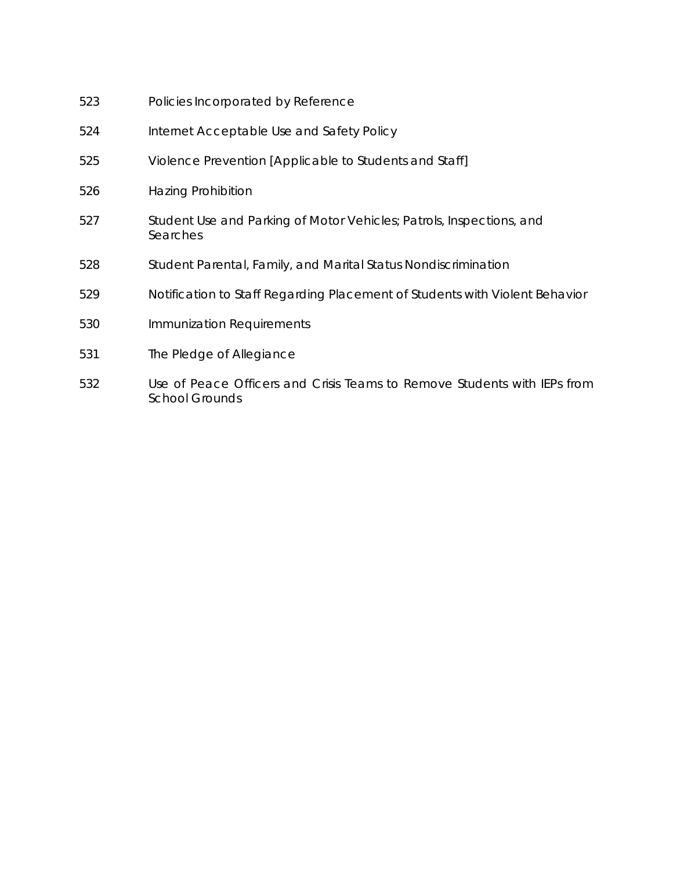| 523 | Policies Incorporated by Reference                                                                |
|-----|---------------------------------------------------------------------------------------------------|
| 524 | Internet Acceptable Use and Safety Policy                                                         |
| 525 | Violence Prevention [Applicable to Students and Staff]                                            |
| 526 | Hazing Prohibition                                                                                |
| 527 | Student Use and Parking of Motor Vehicles; Patrols, Inspections, and<br>Searches                  |
| 528 | Student Parental, Family, and Marital Status Nondiscrimination                                    |
| 529 | Notification to Staff Regarding Placement of Students with Violent Behavior                       |
| 530 | Immunization Requirements                                                                         |
| 531 | The Pledge of Allegiance                                                                          |
| 532 | Use of Peace Officers and Crisis Teams to Remove Students with IEPs from<br><b>School Grounds</b> |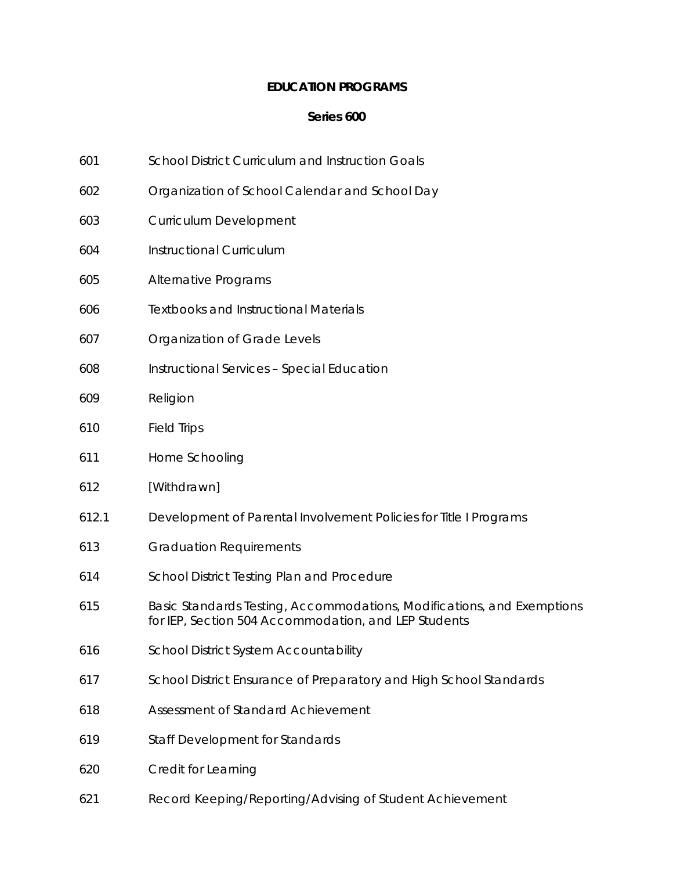### **EDUCATION PROGRAMS**

- 601 School District Curriculum and Instruction Goals
- 602 Organization of School Calendar and School Day
- 603 Curriculum Development
- 604 Instructional Curriculum
- 605 Alternative Programs
- 606 Textbooks and Instructional Materials
- 607 Organization of Grade Levels
- 608 Instructional Services Special Education
- 609 Religion
- 610 Field Trips
- 611 Home Schooling
- 612 [Withdrawn]
- 612.1 Development of Parental Involvement Policies for Title I Programs
- 613 Graduation Requirements
- 614 School District Testing Plan and Procedure
- 615 Basic Standards Testing, Accommodations, Modifications, and Exemptions for IEP, Section 504 Accommodation, and LEP Students
- 616 School District System Accountability
- 617 School District Ensurance of Preparatory and High School Standards
- 618 Assessment of Standard Achievement
- 619 Staff Development for Standards
- 620 Credit for Learning
- 621 Record Keeping/Reporting/Advising of Student Achievement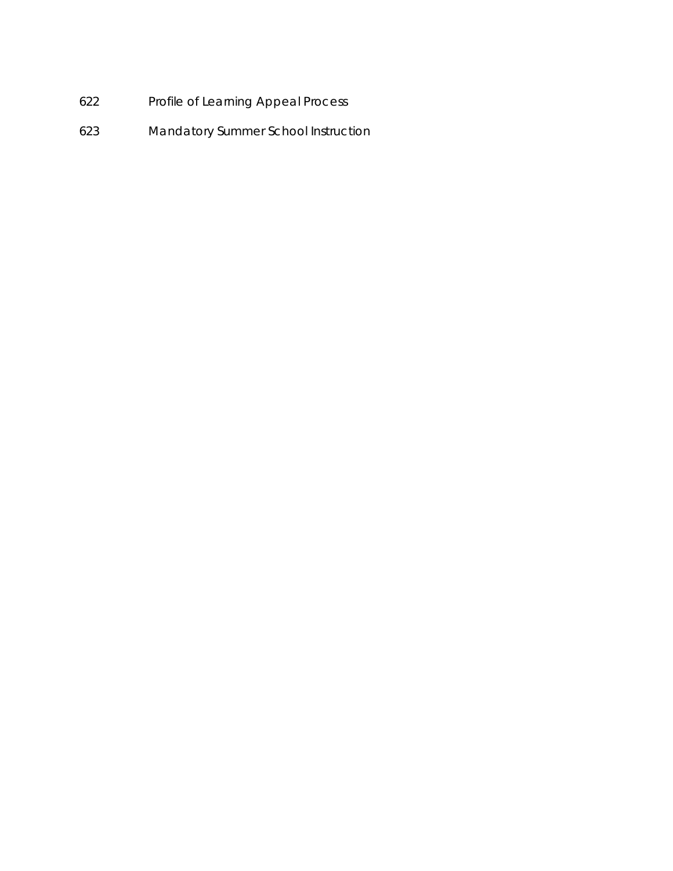- 622 Profile of Learning Appeal Process
- 623 Mandatory Summer School Instruction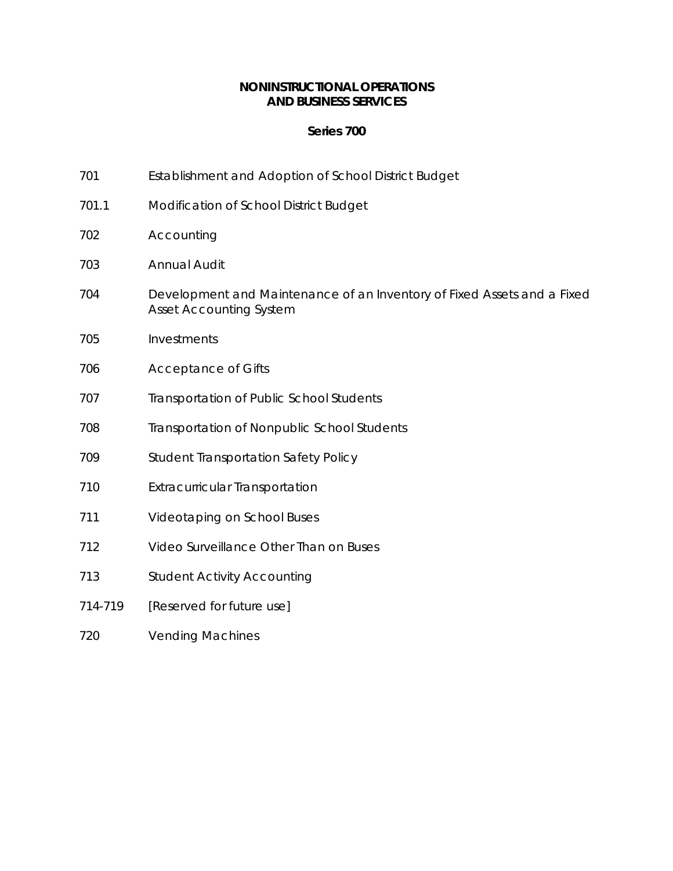### **NONINSTRUCTIONAL OPERATIONS AND BUSINESS SERVICES**

- 701 Establishment and Adoption of School District Budget
- 701.1 Modification of School District Budget
- 702 Accounting
- 703 Annual Audit
- 704 Development and Maintenance of an Inventory of Fixed Assets and a Fixed Asset Accounting System
- 705 Investments
- 706 Acceptance of Gifts
- 707 Transportation of Public School Students
- 708 Transportation of Nonpublic School Students
- 709 Student Transportation Safety Policy
- 710 Extracurricular Transportation
- 711 Videotaping on School Buses
- 712 Video Surveillance Other Than on Buses
- 713 Student Activity Accounting
- *714-719 [Reserved for future use]*
- 720 Vending Machines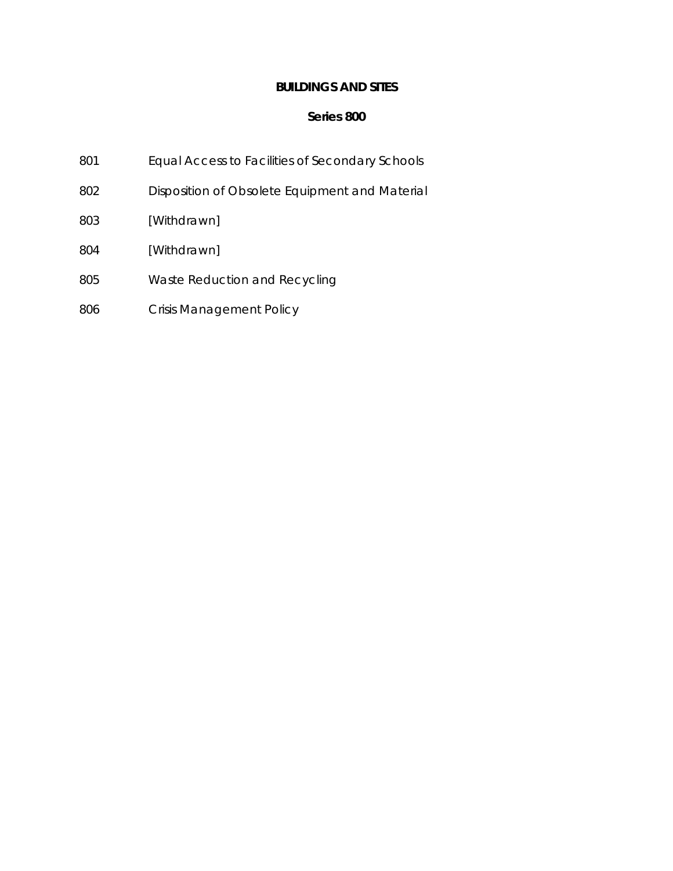### **BUILDINGS AND SITES**

- 801 Equal Access to Facilities of Secondary Schools
- 802 Disposition of Obsolete Equipment and Material
- 803 [Withdrawn]
- 804 [Withdrawn]
- 805 Waste Reduction and Recycling
- 806 Crisis Management Policy